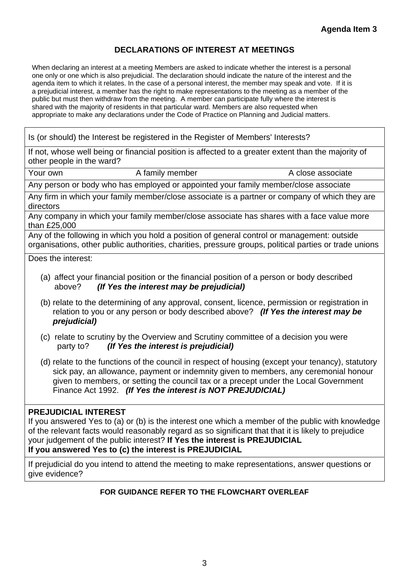## **DECLARATIONS OF INTEREST AT MEETINGS**

When declaring an interest at a meeting Members are asked to indicate whether the interest is a personal one only or one which is also prejudicial. The declaration should indicate the nature of the interest and the agenda item to which it relates. In the case of a personal interest, the member may speak and vote. If it is a prejudicial interest, a member has the right to make representations to the meeting as a member of the public but must then withdraw from the meeting. A member can participate fully where the interest is shared with the majority of residents in that particular ward. Members are also requested when appropriate to make any declarations under the Code of Practice on Planning and Judicial matters.

Is (or should) the Interest be registered in the Register of Members' Interests?

If not, whose well being or financial position is affected to a greater extent than the majority of other people in the ward?

Your own A family member A close associate

Any person or body who has employed or appointed your family member/close associate

Any firm in which your family member/close associate is a partner or company of which they are directors

Any company in which your family member/close associate has shares with a face value more than £25,000

Any of the following in which you hold a position of general control or management: outside organisations, other public authorities, charities, pressure groups, political parties or trade unions

Does the interest:

- (a) affect your financial position or the financial position of a person or body described above? *(If Yes the interest may be prejudicial)*
- (b) relate to the determining of any approval, consent, licence, permission or registration in relation to you or any person or body described above? *(If Yes the interest may be prejudicial)*
- (c) relate to scrutiny by the Overview and Scrutiny committee of a decision you were party to? *(If Yes the interest is prejudicial)*
- (d) relate to the functions of the council in respect of housing (except your tenancy), statutory sick pay, an allowance, payment or indemnity given to members, any ceremonial honour given to members, or setting the council tax or a precept under the Local Government Finance Act 1992. *(If Yes the interest is NOT PREJUDICIAL)*

## **PREJUDICIAL INTEREST**

If you answered Yes to (a) or (b) is the interest one which a member of the public with knowledge of the relevant facts would reasonably regard as so significant that that it is likely to prejudice your judgement of the public interest? **If Yes the interest is PREJUDICIAL If you answered Yes to (c) the interest is PREJUDICIAL** 

If prejudicial do you intend to attend the meeting to make representations, answer questions or

give evidence?

## **FOR GUIDANCE REFER TO THE FLOWCHART OVERLEAF**